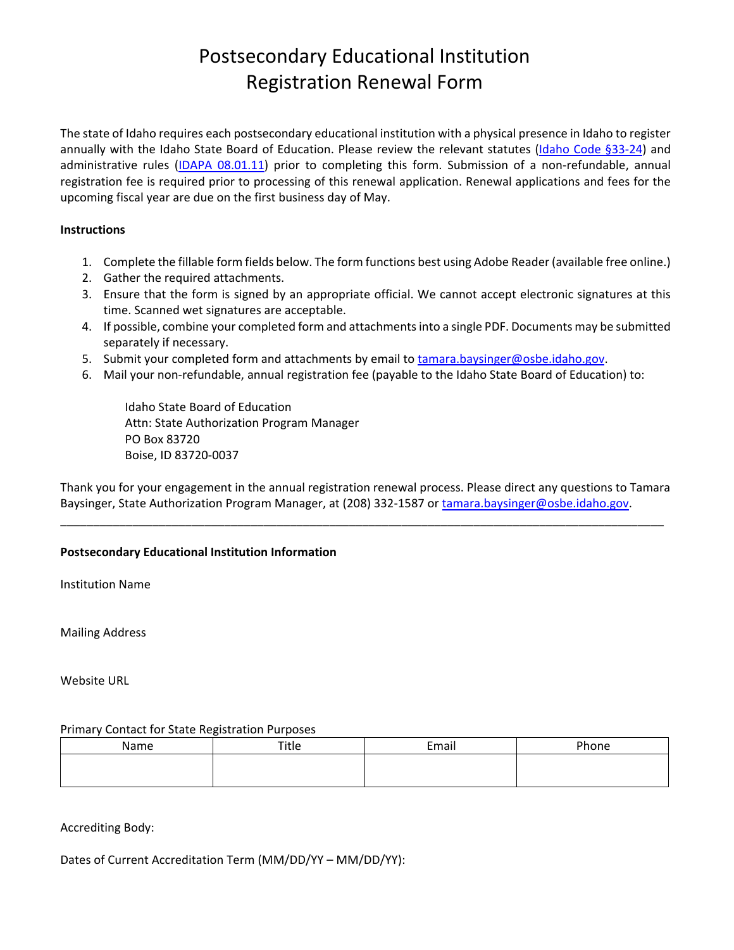# Postsecondary Educational Institution Registration Renewal Form

The state of Idaho requires each postsecondary educational institution with a physical presence in Idaho to register annually with the Idaho State Board of Education. Please review the relevant statutes (Idaho Code §33-24) and administrative rules (IDAPA 08.01.11) prior to completing this form. Submission of a non-refundable, annual registration fee is required prior to processing of this renewal application. Renewal applications and fees for the upcoming fiscal year are due on the first business day of May.

# **Instructions**

- 1. Complete the fillable form fields below. The form functions best using Adobe Reader (available free online.)
- 2. Gather the required attachments.
- 3. Ensure that the form is signed by an appropriate official. We cannot accept electronic signatures at this time. Scanned wet signatures are acceptable.
- 4. If possible, combine your completed form and attachments into a single PDF. Documents may be submitted separately if necessary.
- 5. Submit your completed form and attachments by email to tamara.baysinger@osbe.idaho.gov.
- 6. Mail your non‐refundable, annual registration fee (payable to the Idaho State Board of Education) to:

Idaho State Board of Education Attn: State Authorization Program Manager PO Box 83720 Boise, ID 83720‐0037

Thank you for your engagement in the annual registration renewal process. Please direct any questions to Tamara Baysinger, State Authorization Program Manager, at (208) 332-1587 or tamara.baysinger@osbe.idaho.gov.

\_\_\_\_\_\_\_\_\_\_\_\_\_\_\_\_\_\_\_\_\_\_\_\_\_\_\_\_\_\_\_\_\_\_\_\_\_\_\_\_\_\_\_\_\_\_\_\_\_\_\_\_\_\_\_\_\_\_\_\_\_\_\_\_\_\_\_\_\_\_\_\_\_\_\_\_\_\_\_\_\_\_\_\_\_\_\_\_\_\_\_\_

# **Postsecondary Educational Institution Information**

Institution Name

Mailing Address

Website URL

# Primary Contact for State Registration Purposes

| Name | Title | Email | <sup>o</sup> hone |
|------|-------|-------|-------------------|
|      |       |       |                   |
|      |       |       |                   |

# Accrediting Body:

Dates of Current Accreditation Term (MM/DD/YY – MM/DD/YY):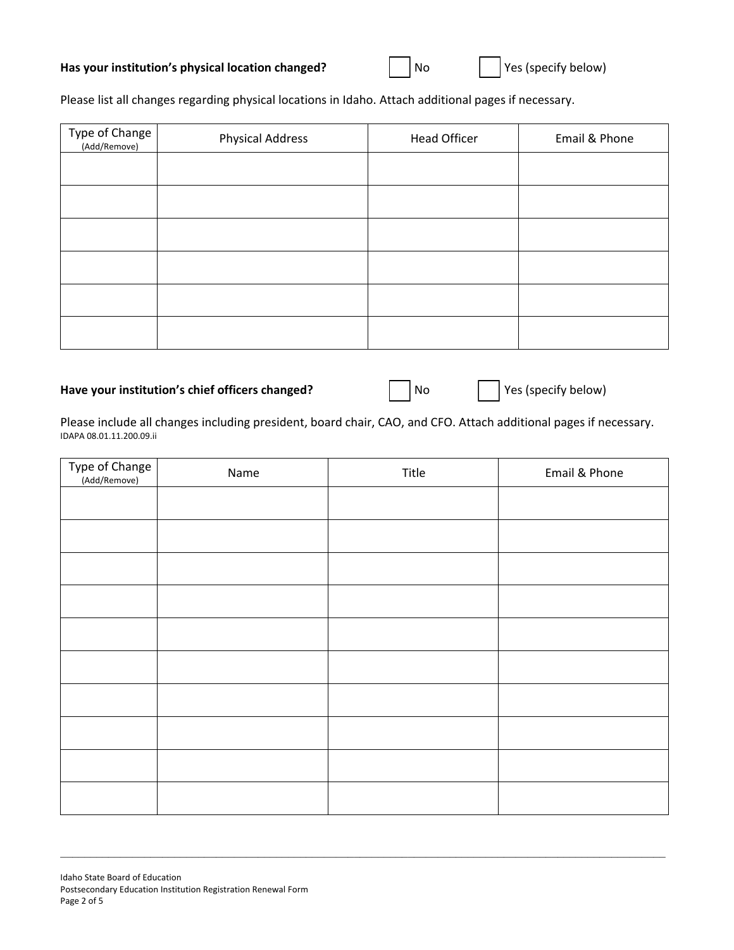| Type of Change<br>(Add/Remove) | <b>Physical Address</b> | <b>Head Officer</b> | Email & Phone |
|--------------------------------|-------------------------|---------------------|---------------|
|                                |                         |                     |               |
|                                |                         |                     |               |
|                                |                         |                     |               |
|                                |                         |                     |               |
|                                |                         |                     |               |

Please list all changes regarding physical locations in Idaho. Attach additional pages if necessary.

# Have your institution's chief officers changed? <br>
No <br>
No Yes (specify below)

Please include all changes including president, board chair, CAO, and CFO. Attach additional pages if necessary. IDAPA 08.01.11.200.09.ii

| Type of Change<br>.<br>(Add/Remove) | Name | Title | Email & Phone |
|-------------------------------------|------|-------|---------------|
|                                     |      |       |               |
|                                     |      |       |               |
|                                     |      |       |               |
|                                     |      |       |               |
|                                     |      |       |               |
|                                     |      |       |               |
|                                     |      |       |               |
|                                     |      |       |               |
|                                     |      |       |               |
|                                     |      |       |               |

#### Idaho State Board of Education Postsecondary Education Institution Registration Renewal Form Page 2 of 5

the contract of the contract of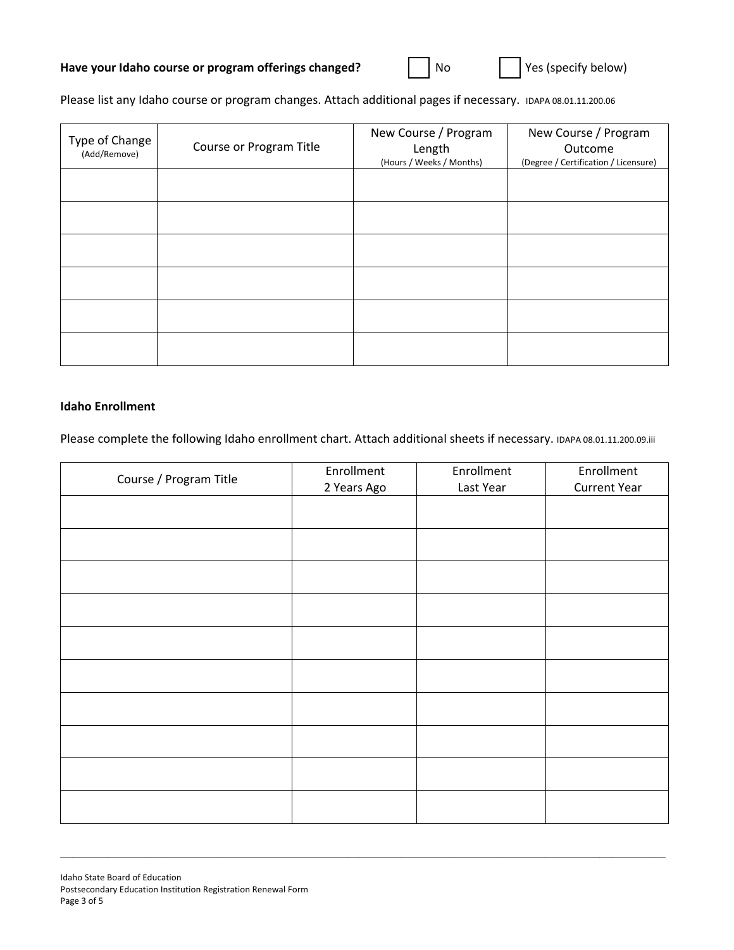Please list any Idaho course or program changes. Attach additional pages if necessary. IDAPA 08.01.11.200.06

| Type of Change<br>(Add/Remove) | Course or Program Title | New Course / Program<br>Length<br>(Hours / Weeks / Months) | New Course / Program<br>Outcome<br>(Degree / Certification / Licensure) |
|--------------------------------|-------------------------|------------------------------------------------------------|-------------------------------------------------------------------------|
|                                |                         |                                                            |                                                                         |
|                                |                         |                                                            |                                                                         |
|                                |                         |                                                            |                                                                         |
|                                |                         |                                                            |                                                                         |
|                                |                         |                                                            |                                                                         |
|                                |                         |                                                            |                                                                         |

# **Idaho Enrollment**

Please complete the following Idaho enrollment chart. Attach additional sheets if necessary. IDAPA 08.01.11.200.09.iii

| Course / Program Title | Enrollment<br>2 Years Ago | Enrollment<br>Last Year | Enrollment<br><b>Current Year</b> |
|------------------------|---------------------------|-------------------------|-----------------------------------|
|                        |                           |                         |                                   |
|                        |                           |                         |                                   |
|                        |                           |                         |                                   |
|                        |                           |                         |                                   |
|                        |                           |                         |                                   |
|                        |                           |                         |                                   |
|                        |                           |                         |                                   |
|                        |                           |                         |                                   |
|                        |                           |                         |                                   |
|                        |                           |                         |                                   |
|                        |                           |                         |                                   |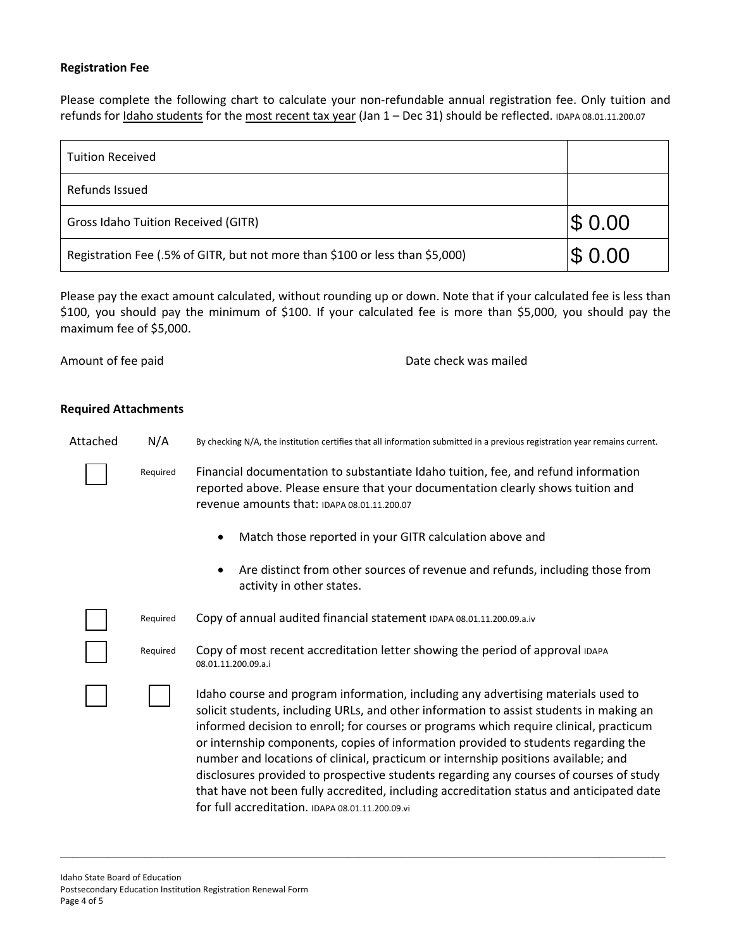# **Registration Fee**

Please complete the following chart to calculate your non-refundable annual registration fee. Only tuition and refunds for Idaho students for the most recent tax year (Jan 1 - Dec 31) should be reflected. IDAPA 08.01.11.200.07

| <b>Tuition Received</b>                                                      |        |
|------------------------------------------------------------------------------|--------|
| Refunds Issued                                                               |        |
| Gross Idaho Tuition Received (GITR)                                          | \$0.00 |
| Registration Fee (.5% of GITR, but not more than \$100 or less than \$5,000) | \$0.00 |

Please pay the exact amount calculated, without rounding up or down. Note that if your calculated fee is less than \$100, you should pay the minimum of \$100. If your calculated fee is more than \$5,000, you should pay the maximum fee of \$5,000.

Amount of fee paid **Base Controllers** and the check was mailed

### **Required Attachments**

Attached N/A By checking N/A, the institution certifies that all information submitted in a previous registration year remains current.

Required Financial documentation to substantiate Idaho tuition, fee, and refund information reported above. Please ensure that your documentation clearly shows tuition and revenue amounts that: IDAPA 08.01.11.200.07

- Match those reported in your GITR calculation above and
- Are distinct from other sources of revenue and refunds, including those from activity in other states.

Required Copy of annual audited financial statement IDAPA 08.01.11.200.09.a.iv

Required Copy of most recent accreditation letter showing the period of approval IDAPA 08.01.11.200.09.a.i

> Idaho course and program information, including any advertising materials used to solicit students, including URLs, and other information to assist students in making an informed decision to enroll; for courses or programs which require clinical, practicum or internship components, copies of information provided to students regarding the number and locations of clinical, practicum or internship positions available; and disclosures provided to prospective students regarding any courses of courses of study that have not been fully accredited, including accreditation status and anticipated date for full accreditation. IDAPA 08.01.11.200.09.vi